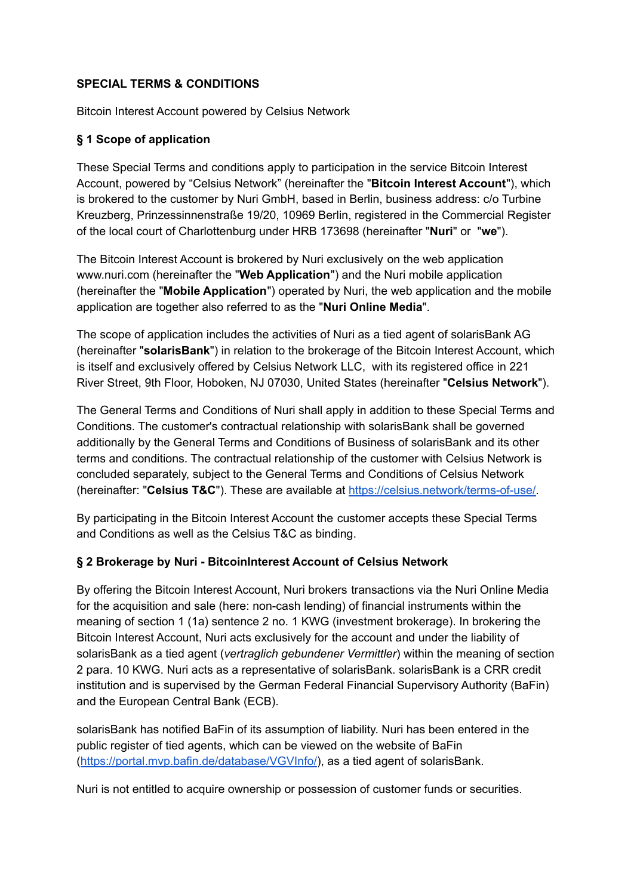#### **SPECIAL TERMS & CONDITIONS**

Bitcoin Interest Account powered by Celsius Network

#### **§ 1 Scope of application**

These Special Terms and conditions apply to participation in the service Bitcoin Interest Account, powered by "Celsius Network" (hereinafter the "**Bitcoin Interest Account**"), which is brokered to the customer by Nuri GmbH, based in Berlin, business address: c/o Turbine Kreuzberg, Prinzessinnenstraße 19/20, 10969 Berlin, registered in the Commercial Register of the local court of Charlottenburg under HRB 173698 (hereinafter "**Nuri**" or "**we**").

The Bitcoin Interest Account is brokered by Nuri exclusively on the web application www.nuri.com (hereinafter the "**Web Application**") and the Nuri mobile application (hereinafter the "**Mobile Application**") operated by Nuri, the web application and the mobile application are together also referred to as the "**Nuri Online Media**".

The scope of application includes the activities of Nuri as a tied agent of solarisBank AG (hereinafter "**solarisBank**") in relation to the brokerage of the Bitcoin Interest Account, which is itself and exclusively offered by Celsius Network LLC, with its registered office in 221 River Street, 9th Floor, Hoboken, NJ 07030, United States (hereinafter "**Celsius Network**").

The General Terms and Conditions of Nuri shall apply in addition to these Special Terms and Conditions. The customer's contractual relationship with solarisBank shall be governed additionally by the General Terms and Conditions of Business of solarisBank and its other terms and conditions. The contractual relationship of the customer with Celsius Network is concluded separately, subject to the General Terms and Conditions of Celsius Network (hereinafter: "**Celsius T&C**"). These are available at [https://celsius.network/terms-of-use/.](https://celsius.network/terms-of-use/)

By participating in the Bitcoin Interest Account the customer accepts these Special Terms and Conditions as well as the Celsius T&C as binding.

#### **§ 2 Brokerage by Nuri - BitcoinInterest Account of Celsius Network**

By offering the Bitcoin Interest Account, Nuri brokers transactions via the Nuri Online Media for the acquisition and sale (here: non-cash lending) of financial instruments within the meaning of section 1 (1a) sentence 2 no. 1 KWG (investment brokerage). In brokering the Bitcoin Interest Account, Nuri acts exclusively for the account and under the liability of solarisBank as a tied agent (*vertraglich gebundener Vermittler*) within the meaning of section 2 para. 10 KWG. Nuri acts as a representative of solarisBank. solarisBank is a CRR credit institution and is supervised by the German Federal Financial Supervisory Authority (BaFin) and the European Central Bank (ECB).

solarisBank has notified BaFin of its assumption of liability. Nuri has been entered in the public register of tied agents, which can be viewed on the website of BaFin (<https://portal.mvp.bafin.de/database/VGVInfo/>), as a tied agent of solarisBank.

Nuri is not entitled to acquire ownership or possession of customer funds or securities.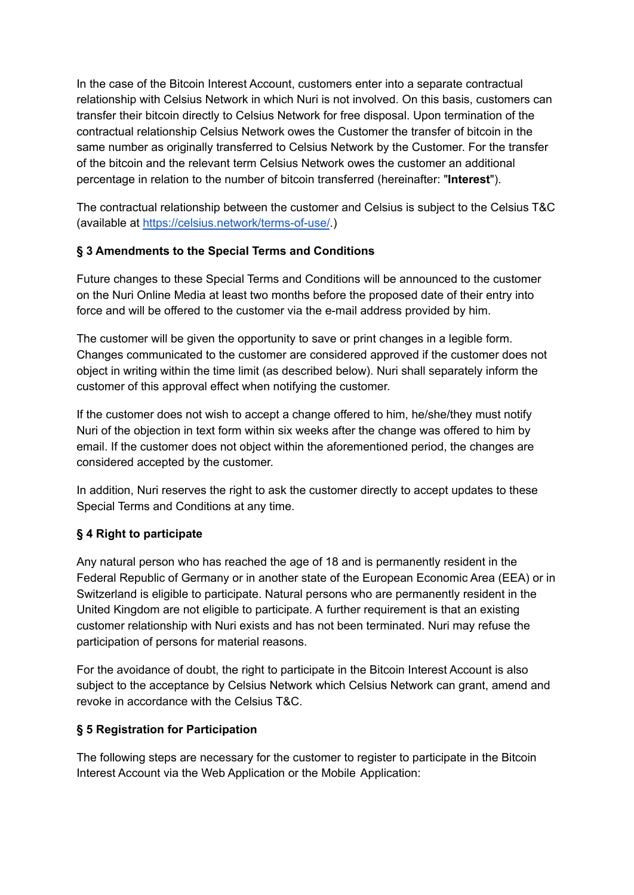In the case of the Bitcoin Interest Account, customers enter into a separate contractual relationship with Celsius Network in which Nuri is not involved. On this basis, customers can transfer their bitcoin directly to Celsius Network for free disposal. Upon termination of the contractual relationship Celsius Network owes the Customer the transfer of bitcoin in the same number as originally transferred to Celsius Network by the Customer. For the transfer of the bitcoin and the relevant term Celsius Network owes the customer an additional percentage in relation to the number of bitcoin transferred (hereinafter: "**Interest**").

The contractual relationship between the customer and Celsius is subject to the Celsius T&C (available at <https://celsius.network/terms-of-use/>.)

#### **§ 3 Amendments to the Special Terms and Conditions**

Future changes to these Special Terms and Conditions will be announced to the customer on the Nuri Online Media at least two months before the proposed date of their entry into force and will be offered to the customer via the e-mail address provided by him.

The customer will be given the opportunity to save or print changes in a legible form. Changes communicated to the customer are considered approved if the customer does not object in writing within the time limit (as described below). Nuri shall separately inform the customer of this approval effect when notifying the customer.

If the customer does not wish to accept a change offered to him, he/she/they must notify Nuri of the objection in text form within six weeks after the change was offered to him by email. If the customer does not object within the aforementioned period, the changes are considered accepted by the customer.

In addition, Nuri reserves the right to ask the customer directly to accept updates to these Special Terms and Conditions at any time.

# **§ 4 Right to participate**

Any natural person who has reached the age of 18 and is permanently resident in the Federal Republic of Germany or in another state of the European Economic Area (EEA) or in Switzerland is eligible to participate. Natural persons who are permanently resident in the United Kingdom are not eligible to participate. A further requirement is that an existing customer relationship with Nuri exists and has not been terminated. Nuri may refuse the participation of persons for material reasons.

For the avoidance of doubt, the right to participate in the Bitcoin Interest Account is also subject to the acceptance by Celsius Network which Celsius Network can grant, amend and revoke in accordance with the Celsius T&C.

# **§ 5 Registration for Participation**

The following steps are necessary for the customer to register to participate in the Bitcoin Interest Account via the Web Application or the Mobile Application: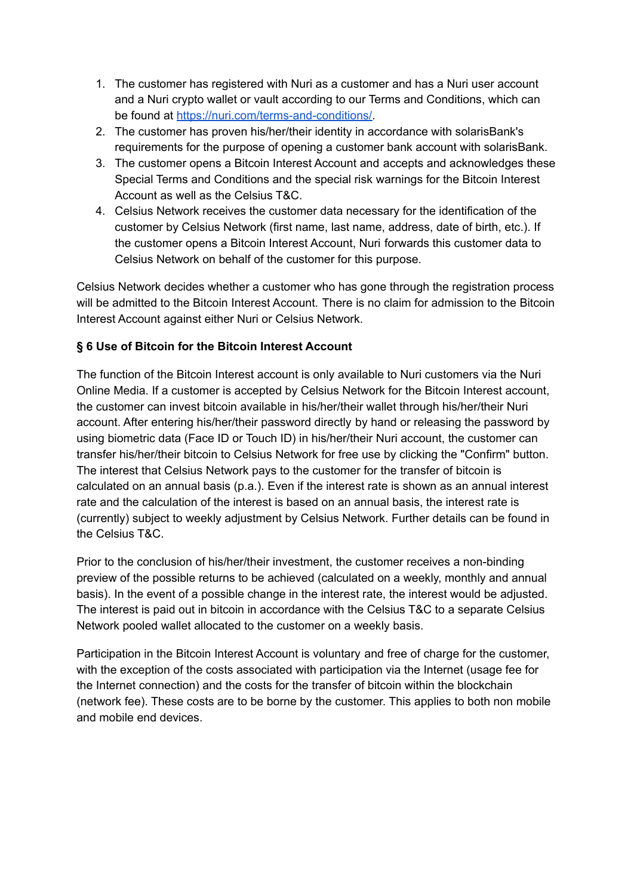- 1. The customer has registered with Nuri as a customer and has a Nuri user account and a Nuri crypto wallet or vault according to our Terms and Conditions, which can be found at [https://nuri.com/terms-and-conditions/.](https://nuri.com/terms-and-conditions/)
- 2. The customer has proven his/her/their identity in accordance with solarisBank's requirements for the purpose of opening a customer bank account with solarisBank.
- 3. The customer opens a Bitcoin Interest Account and accepts and acknowledges these Special Terms and Conditions and the special risk warnings for the Bitcoin Interest Account as well as the Celsius T&C.
- 4. Celsius Network receives the customer data necessary for the identification of the customer by Celsius Network (first name, last name, address, date of birth, etc.). If the customer opens a Bitcoin Interest Account, Nuri forwards this customer data to Celsius Network on behalf of the customer for this purpose.

Celsius Network decides whether a customer who has gone through the registration process will be admitted to the Bitcoin Interest Account. There is no claim for admission to the Bitcoin Interest Account against either Nuri or Celsius Network.

# **§ 6 Use of Bitcoin for the Bitcoin Interest Account**

The function of the Bitcoin Interest account is only available to Nuri customers via the Nuri Online Media. If a customer is accepted by Celsius Network for the Bitcoin Interest account, the customer can invest bitcoin available in his/her/their wallet through his/her/their Nuri account. After entering his/her/their password directly by hand or releasing the password by using biometric data (Face ID or Touch ID) in his/her/their Nuri account, the customer can transfer his/her/their bitcoin to Celsius Network for free use by clicking the "Confirm" button. The interest that Celsius Network pays to the customer for the transfer of bitcoin is calculated on an annual basis (p.a.). Even if the interest rate is shown as an annual interest rate and the calculation of the interest is based on an annual basis, the interest rate is (currently) subject to weekly adjustment by Celsius Network. Further details can be found in the Celsius T&C.

Prior to the conclusion of his/her/their investment, the customer receives a non-binding preview of the possible returns to be achieved (calculated on a weekly, monthly and annual basis). In the event of a possible change in the interest rate, the interest would be adjusted. The interest is paid out in bitcoin in accordance with the Celsius T&C to a separate Celsius Network pooled wallet allocated to the customer on a weekly basis.

Participation in the Bitcoin Interest Account is voluntary and free of charge for the customer, with the exception of the costs associated with participation via the Internet (usage fee for the Internet connection) and the costs for the transfer of bitcoin within the blockchain (network fee). These costs are to be borne by the customer. This applies to both non mobile and mobile end devices.